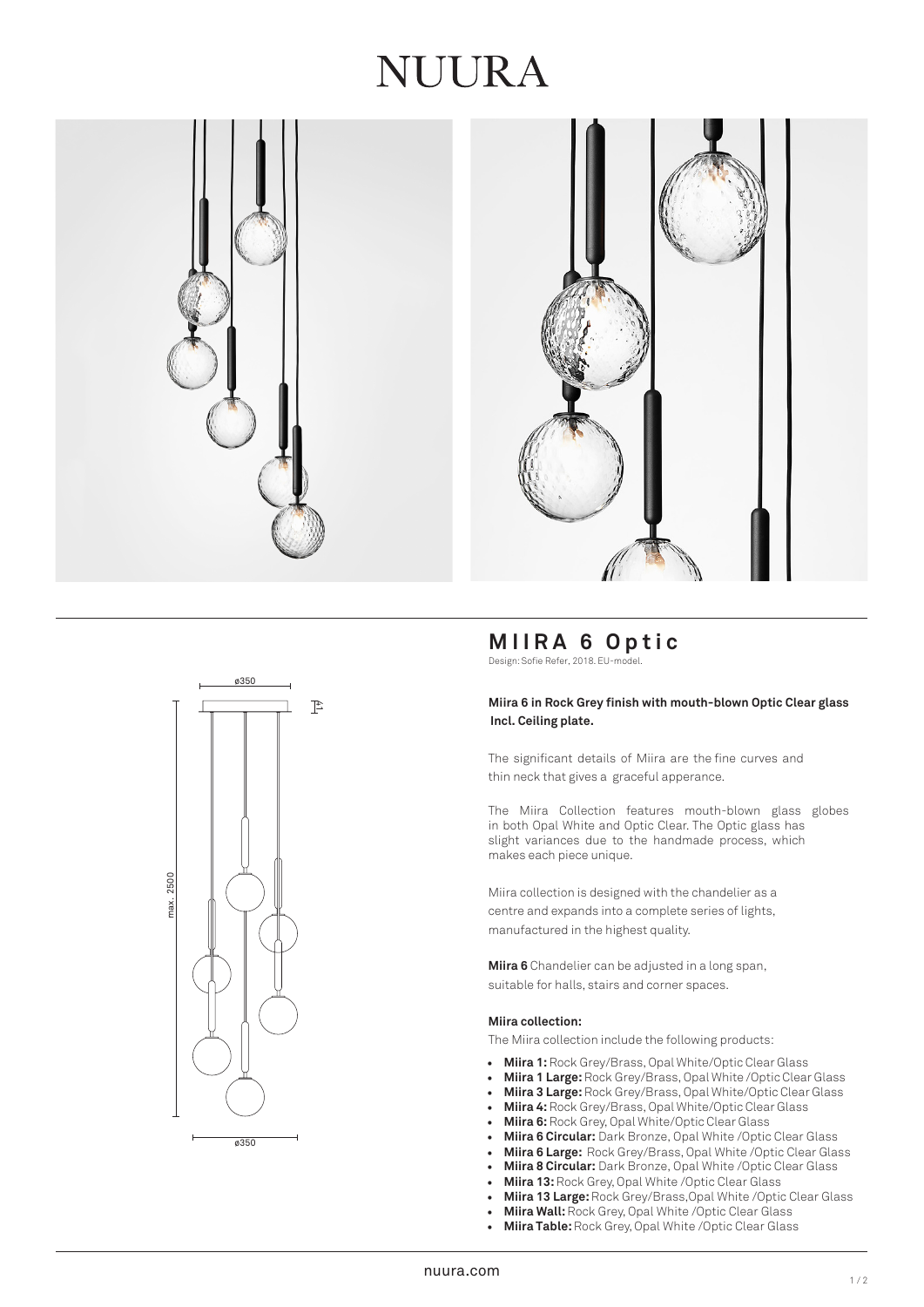## JUURA







## **MIIRA 6 Optic**

Design: Sofie Refer, 2018. EU-model.

### **Miira 6 in Rock Grey finish with mouth-blown Optic Clear glass Incl. Ceiling plate.**

The significant details of Miira are the fine curves and thin neck that gives a graceful apperance.

The Miira Collection features mouth-blown glass globes in both Opal White and Optic Clear. The Optic glass has slight variances due to the handmade process, which makes each piece unique.

Miira collection is designed with the chandelier as a centre and expands into a complete series of lights, manufactured in the highest quality.

**Miira 6** Chandelier can be adjusted in a long span, suitable for halls, stairs and corner spaces.

### **Miira collection:**

The Miira collection include the following products:

- **Miira 1:** Rock Grey/Brass, Opal White/Optic Clear Glass
- **Miira 1 Large:** Rock Grey/Brass, Opal White /Optic Clear Glass
- **Miira 3 Large:**Rock Grey/Brass, Opal White/Optic Clear Glass
- **Miira 4:** Rock Grey/Brass, Opal White/Optic Clear Glass
- **Miira 6:**Rock Grey, Opal White/Optic Clear Glass
- **Miira 6 Circular:** Dark Bronze, Opal White /Optic Clear Glass
- **Miira 6 Large:** Rock Grey/Brass, Opal White /Optic Clear Glass
- **Miira 8 Circular:** Dark Bronze, Opal White /Optic Clear Glass
- **Miira 13:** Rock Grey, Opal White /Optic Clear Glass
- **Miira 13 Large:** Rock Grey/Brass,Opal White /Optic Clear Glass
- **Miira Wall:**Rock Grey, Opal White /Optic Clear Glass
- **Miira Table:** Rock Grey, Opal White /Optic Clear Glass